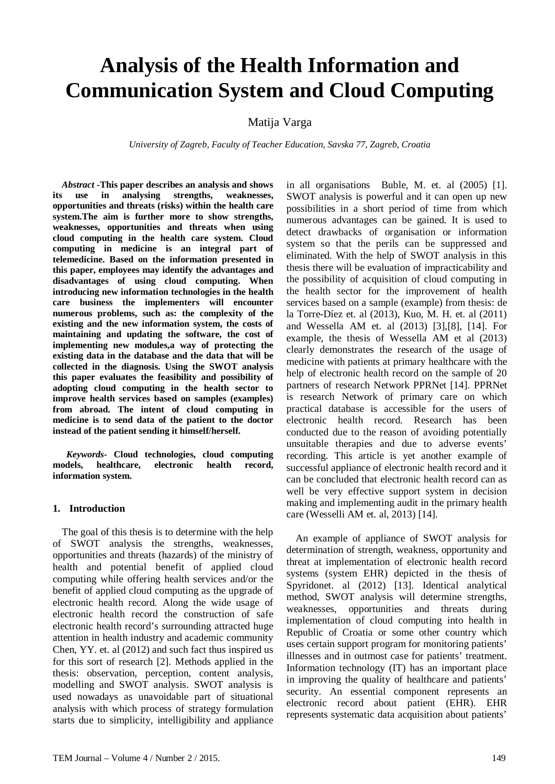# **Analysis of the Health Information and Communication System and Cloud Computing**

Matija Varga

*University of Zagreb, Faculty of Teacher Education, Savska 77, Zagreb, Croatia* 

*Abstract* **-This paper describes an analysis and shows its use in analysing strengths, weaknesses, opportunities and threats (risks) within the health care system.The aim is further more to show strengths, weaknesses, opportunities and threats when using cloud computing in the health care system. Cloud computing in medicine is an integral part of telemedicine. Based on the information presented in this paper, employees may identify the advantages and disadvantages of using cloud computing. When introducing new information technologies in the health care business the implementers will encounter numerous problems, such as: the complexity of the existing and the new information system, the costs of maintaining and updating the software, the cost of implementing new modules,a way of protecting the existing data in the database and the data that will be collected in the diagnosis. Using the SWOT analysis this paper evaluates the feasibility and possibility of adopting cloud computing in the health sector to improve health services based on samples (examples) from abroad. The intent of cloud computing in medicine is to send data of the patient to the doctor instead of the patient sending it himself/herself.**

 *Keywords-* **Cloud technologies, cloud computing models, healthcare, electronic health record, information system.**

#### **1. Introduction**

The goal of this thesis is to determine with the help of SWOT analysis the strengths, weaknesses, opportunities and threats (hazards) of the ministry of health and potential benefit of applied cloud computing while offering health services and/or the benefit of applied cloud computing as the upgrade of electronic health record. Along the wide usage of electronic health record the construction of safe electronic health record's surrounding attracted huge attention in health industry and academic community Chen, YY. et. al (2012) and such fact thus inspired us for this sort of research [2]. Methods applied in the thesis: observation, perception, content analysis, modelling and SWOT analysis. SWOT analysis is used nowadays as unavoidable part of situational analysis with which process of strategy formulation starts due to simplicity, intelligibility and appliance

in all organisations Buble, M. et. al (2005) [1]. SWOT analysis is powerful and it can open up new possibilities in a short period of time from which numerous advantages can be gained. It is used to detect drawbacks of organisation or information system so that the perils can be suppressed and eliminated. With the help of SWOT analysis in this thesis there will be evaluation of impracticability and the possibility of acquisition of cloud computing in the health sector for the improvement of health services based on a sample (example) from thesis: de la Torre-Díez et. al (2013), Kuo, M. H. et. al (2011) and Wessella AM et. al (2013) [3],[8], [14]. For example, the thesis of Wessella AM et al (2013) clearly demonstrates the research of the usage of medicine with patients at primary healthcare with the help of electronic health record on the sample of 20 partners of research Network PPRNet [14]. PPRNet is research Network of primary care on which practical database is accessible for the users of electronic health record. Research has been conducted due to the reason of avoiding potentially unsuitable therapies and due to adverse events' recording. This article is yet another example of successful appliance of electronic health record and it can be concluded that electronic health record can as well be very effective support system in decision making and implementing audit in the primary health care (Wesselli AM et. al, 2013) [14].

An example of appliance of SWOT analysis for determination of strength, weakness, opportunity and threat at implementation of electronic health record systems (system EHR) depicted in the thesis of Spyridonet. al (2012) [13]. Identical analytical method, SWOT analysis will determine strengths, weaknesses, opportunities and threats during implementation of cloud computing into health in Republic of Croatia or some other country which uses certain support program for monitoring patients' illnesses and in outmost case for patients' treatment. Information technology (IT) has an important place in improving the quality of healthcare and patients' security. An essential component represents an electronic record about patient (EHR). EHR represents systematic data acquisition about patients'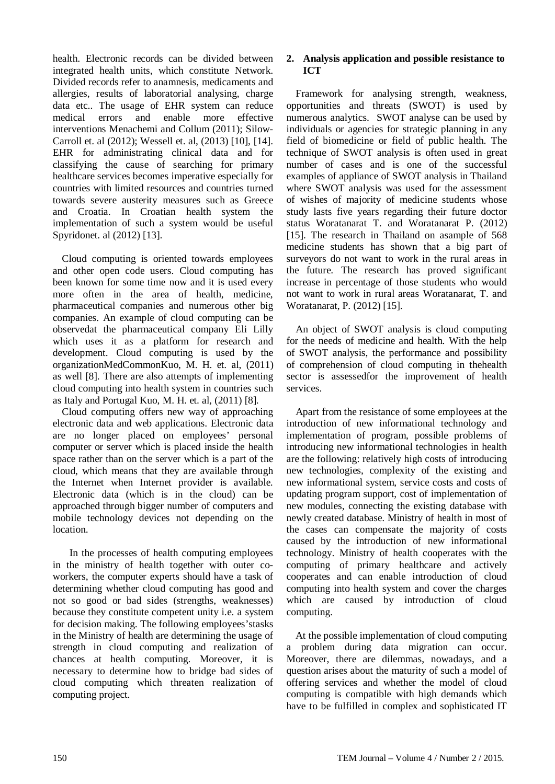health. Electronic records can be divided between integrated health units, which constitute Network. Divided records refer to anamnesis, medicaments and allergies, results of laboratorial analysing, charge data etc.. The usage of EHR system can reduce medical errors and enable more effective interventions Menachemi and Collum (2011); Silow-Carroll et. al (2012); Wessell et. al, (2013) [10], [14]. EHR for administrating clinical data and for classifying the cause of searching for primary healthcare services becomes imperative especially for countries with limited resources and countries turned towards severe austerity measures such as Greece and Croatia. In Croatian health system the implementation of such a system would be useful Spyridonet. al (2012) [13].

Cloud computing is oriented towards employees and other open code users. Cloud computing has been known for some time now and it is used every more often in the area of health, medicine, pharmaceutical companies and numerous other big companies. An example of cloud computing can be observedat the pharmaceutical company Eli Lilly which uses it as a platform for research and development. Cloud computing is used by the organizationMedCommonKuo, M. H. et. al, (2011) as well [8]. There are also attempts of implementing cloud computing into health system in countries such as Italy and Portugal Kuo, M. H. et. al, (2011) [8].

Cloud computing offers new way of approaching electronic data and web applications. Electronic data are no longer placed on employees' personal computer or server which is placed inside the health space rather than on the server which is a part of the cloud, which means that they are available through the Internet when Internet provider is available. Electronic data (which is in the cloud) can be approached through bigger number of computers and mobile technology devices not depending on the location.

In the processes of health computing employees in the ministry of health together with outer coworkers, the computer experts should have a task of determining whether cloud computing has good and not so good or bad sides (strengths, weaknesses) because they constitute competent unity i.e. a system for decision making. The following employees'stasks in the Ministry of health are determining the usage of strength in cloud computing and realization of chances at health computing. Moreover, it is necessary to determine how to bridge bad sides of cloud computing which threaten realization of computing project.

## **2. Analysis application and possible resistance to ICT**

Framework for analysing strength, weakness, opportunities and threats (SWOT) is used by numerous analytics. SWOT analyse can be used by individuals or agencies for strategic planning in any field of biomedicine or field of public health. The technique of SWOT analysis is often used in great number of cases and is one of the successful examples of appliance of SWOT analysis in Thailand where SWOT analysis was used for the assessment of wishes of majority of medicine students whose study lasts five years regarding their future doctor status Woratanarat T. and Woratanarat P. (2012) [15]. The research in Thailand on asample of 568 medicine students has shown that a big part of surveyors do not want to work in the rural areas in the future. The research has proved significant increase in percentage of those students who would not want to work in rural areas Woratanarat, T. and Woratanarat, P. (2012) [15].

An object of SWOT analysis is cloud computing for the needs of medicine and health. With the help of SWOT analysis, the performance and possibility of comprehension of cloud computing in thehealth sector is assessedfor the improvement of health services.

Apart from the resistance of some employees at the introduction of new informational technology and implementation of program, possible problems of introducing new informational technologies in health are the following: relatively high costs of introducing new technologies, complexity of the existing and new informational system, service costs and costs of updating program support, cost of implementation of new modules, connecting the existing database with newly created database. Ministry of health in most of the cases can compensate the majority of costs caused by the introduction of new informational technology. Ministry of health cooperates with the computing of primary healthcare and actively cooperates and can enable introduction of cloud computing into health system and cover the charges which are caused by introduction of cloud computing.

At the possible implementation of cloud computing a problem during data migration can occur. Moreover, there are dilemmas, nowadays, and a question arises about the maturity of such a model of offering services and whether the model of cloud computing is compatible with high demands which have to be fulfilled in complex and sophisticated IT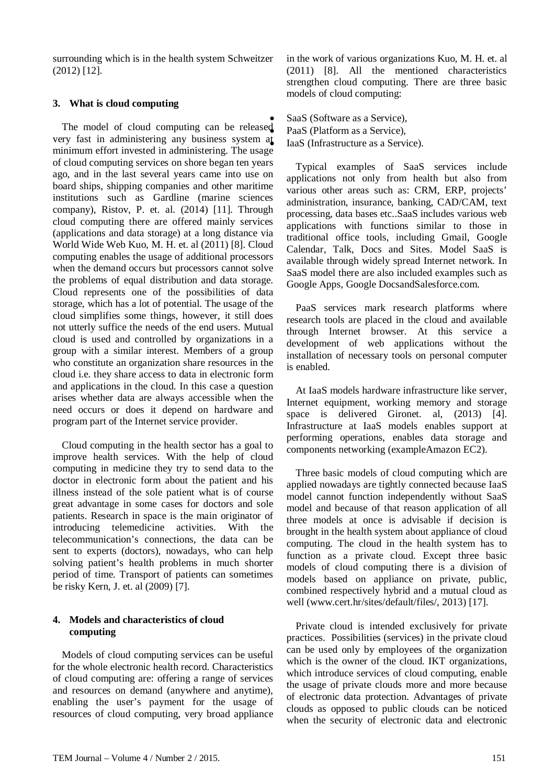surrounding which is in the health system Schweitzer (2012) [12].

### **3. What is cloud computing**

The model of cloud computing can be released very fast in administering any business system at minimum effort invested in administering. The usage of cloud computing services on shore began ten years ago, and in the last several years came into use on board ships, shipping companies and other maritime institutions such as Gardline (marine sciences company), Ristov, P. et. al. (2014) [11]. Through cloud computing there are offered mainly services (applications and data storage) at a long distance via World Wide Web Kuo, M. H. et. al (2011) [8]. Cloud computing enables the usage of additional processors when the demand occurs but processors cannot solve the problems of equal distribution and data storage. Cloud represents one of the possibilities of data storage, which has a lot of potential. The usage of the cloud simplifies some things, however, it still does not utterly suffice the needs of the end users. Mutual cloud is used and controlled by organizations in a group with a similar interest. Members of a group who constitute an organization share resources in the cloud i.e. they share access to data in electronic form and applications in the cloud. In this case a question arises whether data are always accessible when the need occurs or does it depend on hardware and program part of the Internet service provider.

Cloud computing in the health sector has a goal to improve health services. With the help of cloud computing in medicine they try to send data to the doctor in electronic form about the patient and his illness instead of the sole patient what is of course great advantage in some cases for doctors and sole patients. Research in space is the main originator of introducing telemedicine activities. With the telecommunication's connections, the data can be sent to experts (doctors), nowadays, who can help solving patient's health problems in much shorter period of time. Transport of patients can sometimes be risky Kern, J. et. al (2009) [7].

#### **4. Models and characteristics of cloud computing**

Models of cloud computing services can be useful for the whole electronic health record. Characteristics of cloud computing are: offering a range of services and resources on demand (anywhere and anytime), enabling the user's payment for the usage of resources of cloud computing, very broad appliance in the work of various organizations Kuo, M. H. et. al (2011) [8]. All the mentioned characteristics strengthen cloud computing. There are three basic models of cloud computing:

SaaS (Software as a Service), PaaS (Platform as a Service). IaaS (Infrastructure as a Service).

Typical examples of SaaS services include applications not only from health but also from various other areas such as: CRM, ERP, projects' administration, insurance, banking, CAD/CAM, text processing, data bases etc..SaaS includes various web applications with functions similar to those in traditional office tools, including Gmail, Google Calendar, Talk, Docs and Sites. Model SaaS is available through widely spread Internet network. In SaaS model there are also included examples such as Google Apps, Google DocsandSalesforce.com.

PaaS services mark research platforms where research tools are placed in the cloud and available through Internet browser. At this service a development of web applications without the installation of necessary tools on personal computer is enabled.

At IaaS models hardware infrastructure like server, Internet equipment, working memory and storage space is delivered Gironet. al,  $(2013)$  [4]. Infrastructure at IaaS models enables support at performing operations, enables data storage and components networking (exampleAmazon EC2).

Three basic models of cloud computing which are applied nowadays are tightly connected because IaaS model cannot function independently without SaaS model and because of that reason application of all three models at once is advisable if decision is brought in the health system about appliance of cloud computing. The cloud in the health system has to function as a private cloud. Except three basic models of cloud computing there is a division of models based on appliance on private, public, combined respectively hybrid and a mutual cloud as well (www.cert.hr/sites/default/files/, 2013) [17].

Private cloud is intended exclusively for private practices. Possibilities (services) in the private cloud can be used only by employees of the organization which is the owner of the cloud. IKT organizations, which introduce services of cloud computing, enable the usage of private clouds more and more because of electronic data protection. Advantages of private clouds as opposed to public clouds can be noticed when the security of electronic data and electronic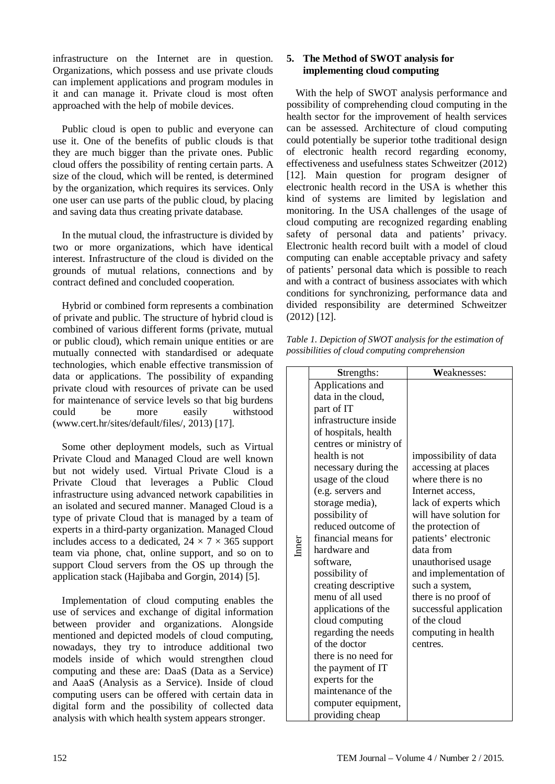infrastructure on the Internet are in question. Organizations, which possess and use private clouds can implement applications and program modules in it and can manage it. Private cloud is most often approached with the help of mobile devices.

Public cloud is open to public and everyone can use it. One of the benefits of public clouds is that they are much bigger than the private ones. Public cloud offers the possibility of renting certain parts. A size of the cloud, which will be rented, is determined by the organization, which requires its services. Only one user can use parts of the public cloud, by placing and saving data thus creating private database.

In the mutual cloud, the infrastructure is divided by two or more organizations, which have identical interest. Infrastructure of the cloud is divided on the grounds of mutual relations, connections and by contract defined and concluded cooperation.

Hybrid or combined form represents a combination of private and public. The structure of hybrid cloud is combined of various different forms (private, mutual or public cloud), which remain unique entities or are mutually connected with standardised or adequate technologies, which enable effective transmission of data or applications. The possibility of expanding private cloud with resources of private can be used for maintenance of service levels so that big burdens could be more easily withstood (www.cert.hr/sites/default/files/, 2013) [17].

Some other deployment models, such as Virtual Private Cloud and Managed Cloud are well known but not widely used. Virtual Private Cloud is a Private Cloud that leverages a Public Cloud infrastructure using advanced network capabilities in an isolated and secured manner. Managed Cloud is a type of private Cloud that is managed by a team of experts in a third-party organization. Managed Cloud includes access to a dedicated,  $24 \times 7 \times 365$  support team via phone, chat, online support, and so on to support Cloud servers from the OS up through the application stack (Hajibaba and Gorgin, 2014) [5].

Implementation of cloud computing enables the use of services and exchange of digital information between provider and organizations. Alongside mentioned and depicted models of cloud computing, nowadays, they try to introduce additional two models inside of which would strengthen cloud computing and these are: DaaS (Data as a Service) and AaaS (Analysis as a Service). Inside of cloud computing users can be offered with certain data in digital form and the possibility of collected data analysis with which health system appears stronger.

## **5. The Method of SWOT analysis for implementing cloud computing**

With the help of SWOT analysis performance and possibility of comprehending cloud computing in the health sector for the improvement of health services can be assessed. Architecture of cloud computing could potentially be superior tothe traditional design of electronic health record regarding economy, effectiveness and usefulness states Schweitzer (2012) [12]. Main question for program designer of electronic health record in the USA is whether this kind of systems are limited by legislation and monitoring. In the USA challenges of the usage of cloud computing are recognized regarding enabling safety of personal data and patients' privacy. Electronic health record built with a model of cloud computing can enable acceptable privacy and safety of patients' personal data which is possible to reach and with a contract of business associates with which conditions for synchronizing, performance data and divided responsibility are determined Schweitzer (2012) [12].

*Table 1. Depiction of SWOT analysis for the estimation of possibilities of cloud computing comprehension*

|  | Strengths:             | Weaknesses:            |
|--|------------------------|------------------------|
|  | Applications and       |                        |
|  | data in the cloud,     |                        |
|  | part of IT             |                        |
|  | infrastructure inside  |                        |
|  | of hospitals, health   |                        |
|  | centres or ministry of |                        |
|  | health is not          | impossibility of data  |
|  | necessary during the   | accessing at places    |
|  | usage of the cloud     | where there is no      |
|  | (e.g. servers and      | Internet access.       |
|  | storage media),        | lack of experts which  |
|  | possibility of         | will have solution for |
|  | reduced outcome of     | the protection of      |
|  | financial means for    | patients' electronic   |
|  | hardware and           | data from              |
|  | software,              | unauthorised usage     |
|  | possibility of         | and implementation of  |
|  | creating descriptive   | such a system,         |
|  | menu of all used       | there is no proof of   |
|  | applications of the    | successful application |
|  | cloud computing        | of the cloud           |
|  | regarding the needs    | computing in health    |
|  | of the doctor          | centres.               |
|  | there is no need for   |                        |
|  | the payment of IT      |                        |
|  | experts for the        |                        |
|  | maintenance of the     |                        |
|  | computer equipment,    |                        |
|  | providing cheap        |                        |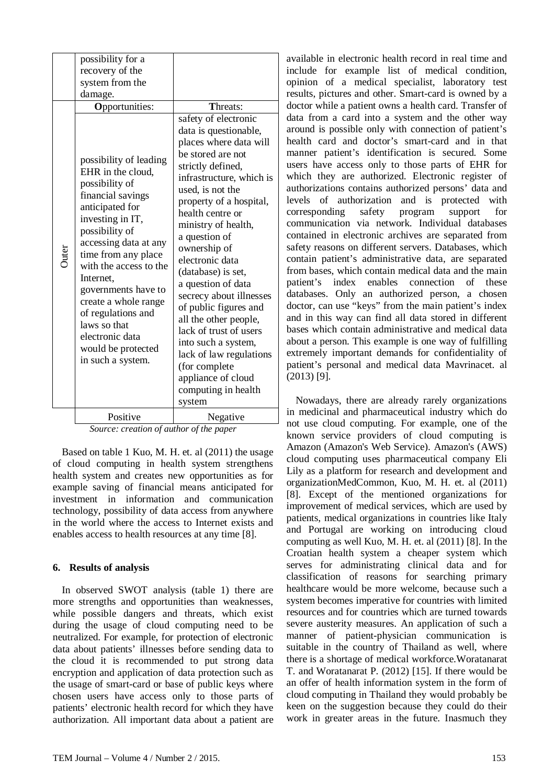|       | possibility for a<br>recovery of the<br>system from the<br>damage.<br><b>Opportunities:</b>                                                                                                                                                                                                                                                                                           | Threats:<br>safety of electronic<br>data is questionable,                                                                                                                                                                                                                                                                                                                                                                                                                                                               |
|-------|---------------------------------------------------------------------------------------------------------------------------------------------------------------------------------------------------------------------------------------------------------------------------------------------------------------------------------------------------------------------------------------|-------------------------------------------------------------------------------------------------------------------------------------------------------------------------------------------------------------------------------------------------------------------------------------------------------------------------------------------------------------------------------------------------------------------------------------------------------------------------------------------------------------------------|
| Outer | possibility of leading<br>EHR in the cloud,<br>possibility of<br>financial savings<br>anticipated for<br>investing in IT,<br>possibility of<br>accessing data at any<br>time from any place<br>with the access to the<br>Internet,<br>governments have to<br>create a whole range<br>of regulations and<br>laws so that<br>electronic data<br>would be protected<br>in such a system. | places where data will<br>be stored are not<br>strictly defined,<br>infrastructure, which is<br>used, is not the<br>property of a hospital,<br>health centre or<br>ministry of health,<br>a question of<br>ownership of<br>electronic data<br>(database) is set,<br>a question of data<br>secrecy about illnesses<br>of public figures and<br>all the other people,<br>lack of trust of users<br>into such a system,<br>lack of law regulations<br>(for complete<br>appliance of cloud<br>computing in health<br>system |
|       | Positive                                                                                                                                                                                                                                                                                                                                                                              | Negative<br>$\mathbf{r}$<br>$\mathbf{r}$ .                                                                                                                                                                                                                                                                                                                                                                                                                                                                              |

*Source: creation of author of the paper*

Based on table 1 Kuo, M. H. et. al (2011) the usage of cloud computing in health system strengthens health system and creates new opportunities as for example saving of financial means anticipated for investment in information and communication technology, possibility of data access from anywhere in the world where the access to Internet exists and enables access to health resources at any time [8].

#### **6. Results of analysis**

In observed SWOT analysis (table 1) there are more strengths and opportunities than weaknesses, while possible dangers and threats, which exist during the usage of cloud computing need to be neutralized. For example, for protection of electronic data about patients' illnesses before sending data to the cloud it is recommended to put strong data encryption and application of data protection such as the usage of smart-card or base of public keys where chosen users have access only to those parts of patients' electronic health record for which they have authorization. All important data about a patient are

available in electronic health record in real time and include for example list of medical condition, opinion of a medical specialist, laboratory test results, pictures and other. Smart-card is owned by a doctor while a patient owns a health card. Transfer of data from a card into a system and the other way around is possible only with connection of patient's health card and doctor's smart-card and in that manner patient's identification is secured. Some users have access only to those parts of EHR for which they are authorized. Electronic register of authorizations contains authorized persons' data and levels of authorization and is protected with corresponding safety program support for communication via network. Individual databases contained in electronic archives are separated from safety reasons on different servers. Databases, which contain patient's administrative data, are separated from bases, which contain medical data and the main patient's index enables connection of these databases. Only an authorized person, a chosen doctor, can use "keys" from the main patient's index and in this way can find all data stored in different bases which contain administrative and medical data about a person. This example is one way of fulfilling extremely important demands for confidentiality of patient's personal and medical data Mavrinacet. al (2013) [9].

Nowadays, there are already rarely organizations in medicinal and pharmaceutical industry which do not use cloud computing. For example, one of the known service providers of cloud computing is Amazon (Amazon's Web Service). Amazon's (AWS) cloud computing uses pharmaceutical company Eli Lily as a platform for research and development and organizationMedCommon, Kuo, M. H. et. al (2011) [8]. Except of the mentioned organizations for improvement of medical services, which are used by patients, medical organizations in countries like Italy and Portugal are working on introducing cloud computing as well Kuo, M. H. et. al (2011) [8]. In the Croatian health system a cheaper system which serves for administrating clinical data and for classification of reasons for searching primary healthcare would be more welcome, because such a system becomes imperative for countries with limited resources and for countries which are turned towards severe austerity measures. An application of such a manner of patient-physician communication is suitable in the country of Thailand as well, where there is a shortage of medical workforce.Woratanarat T. and Woratanarat P. (2012) [15]. If there would be an offer of health information system in the form of cloud computing in Thailand they would probably be keen on the suggestion because they could do their work in greater areas in the future. Inasmuch they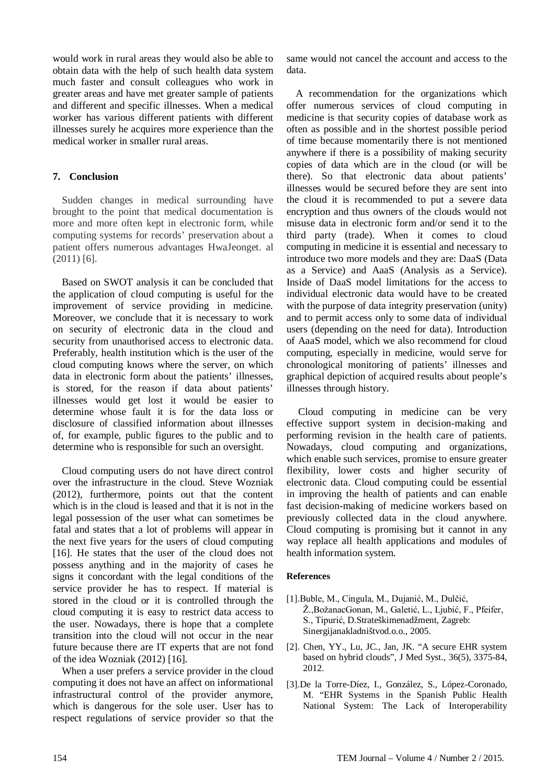would work in rural areas they would also be able to obtain data with the help of such health data system much faster and consult colleagues who work in greater areas and have met greater sample of patients and different and specific illnesses. When a medical worker has various different patients with different illnesses surely he acquires more experience than the medical worker in smaller rural areas.

### **7. Conclusion**

Sudden changes in medical surrounding have brought to the point that medical documentation is more and more often kept in electronic form, while computing systems for records' preservation about a patient offers numerous advantages HwaJeonget. al (2011) [6].

Based on SWOT analysis it can be concluded that the application of cloud computing is useful for the improvement of service providing in medicine. Moreover, we conclude that it is necessary to work on security of electronic data in the cloud and security from unauthorised access to electronic data. Preferably, health institution which is the user of the cloud computing knows where the server, on which data in electronic form about the patients' illnesses, is stored, for the reason if data about patients' illnesses would get lost it would be easier to determine whose fault it is for the data loss or disclosure of classified information about illnesses of, for example, public figures to the public and to determine who is responsible for such an oversight.

Cloud computing users do not have direct control over the infrastructure in the cloud. Steve Wozniak (2012), furthermore, points out that the content which is in the cloud is leased and that it is not in the legal possession of the user what can sometimes be fatal and states that a lot of problems will appear in the next five years for the users of cloud computing [16]. He states that the user of the cloud does not possess anything and in the majority of cases he signs it concordant with the legal conditions of the service provider he has to respect. If material is stored in the cloud or it is controlled through the cloud computing it is easy to restrict data access to the user. Nowadays, there is hope that a complete transition into the cloud will not occur in the near future because there are IT experts that are not fond of the idea Wozniak (2012) [16].

When a user prefers a service provider in the cloud computing it does not have an affect on informational infrastructural control of the provider anymore, which is dangerous for the sole user. User has to respect regulations of service provider so that the

same would not cancel the account and access to the data.

A recommendation for the organizations which offer numerous services of cloud computing in medicine is that security copies of database work as often as possible and in the shortest possible period of time because momentarily there is not mentioned anywhere if there is a possibility of making security copies of data which are in the cloud (or will be there). So that electronic data about patients' illnesses would be secured before they are sent into the cloud it is recommended to put a severe data encryption and thus owners of the clouds would not misuse data in electronic form and/or send it to the third party (trade). When it comes to cloud computing in medicine it is essential and necessary to introduce two more models and they are: DaaS (Data as a Service) and AaaS (Analysis as a Service). Inside of DaaS model limitations for the access to individual electronic data would have to be created with the purpose of data integrity preservation (unity) and to permit access only to some data of individual users (depending on the need for data). Introduction of AaaS model, which we also recommend for cloud computing, especially in medicine, would serve for chronological monitoring of patients' illnesses and graphical depiction of acquired results about people's illnesses through history.

Cloud computing in medicine can be very effective support system in decision-making and performing revision in the health care of patients. Nowadays, cloud computing and organizations, which enable such services, promise to ensure greater flexibility, lower costs and higher security of electronic data. Cloud computing could be essential in improving the health of patients and can enable fast decision-making of medicine workers based on previously collected data in the cloud anywhere. Cloud computing is promising but it cannot in any way replace all health applications and modules of health information system.

#### **References**

- [1].Buble, M., Cingula, M., Dujanić, M., Dulčić, Ž.,BožanacGonan, M., Galetić, L., Ljubić, F., Pfeifer, S., Tipurić, D.Strateškimenadžment, Zagreb: Sinergijanakladništvod.o.o., 2005.
- [2]. Chen, YY., Lu, JC., Jan, JK. "A secure EHR system based on hybrid clouds", J Med Syst., 36(5), 3375-84, 2012.
- [3].De la Torre-Díez, I., González, S., López-Coronado, M. "EHR Systems in the Spanish Public Health National System: The Lack of Interoperability